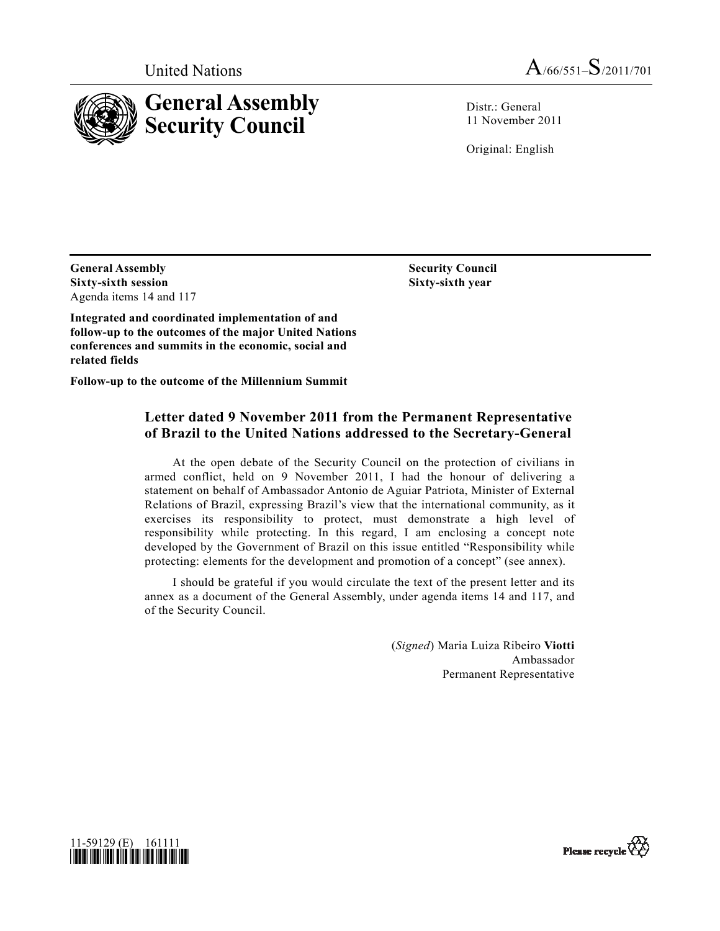

Distr · General 11 November 2011

Original: English

**General Assembly Sixty-sixth session**  Agenda items 14 and 117  **Security Council Sixty-sixth year** 

**Integrated and coordinated implementation of and follow-up to the outcomes of the major United Nations conferences and summits in the economic, social and related fields** 

**Follow-up to the outcome of the Millennium Summit** 

## **Letter dated 9 November 2011 from the Permanent Representative of Brazil to the United Nations addressed to the Secretary-General**

 At the open debate of the Security Council on the protection of civilians in armed conflict, held on 9 November 2011, I had the honour of delivering a statement on behalf of Ambassador Antonio de Aguiar Patriota, Minister of External Relations of Brazil, expressing Brazil's view that the international community, as it exercises its responsibility to protect, must demonstrate a high level of responsibility while protecting. In this regard, I am enclosing a concept note developed by the Government of Brazil on this issue entitled "Responsibility while protecting: elements for the development and promotion of a concept" (see annex).

 I should be grateful if you would circulate the text of the present letter and its annex as a document of the General Assembly, under agenda items 14 and 117, and of the Security Council.

> (*Signed*) Maria Luiza Ribeiro **Viotti** Ambassador Permanent Representative



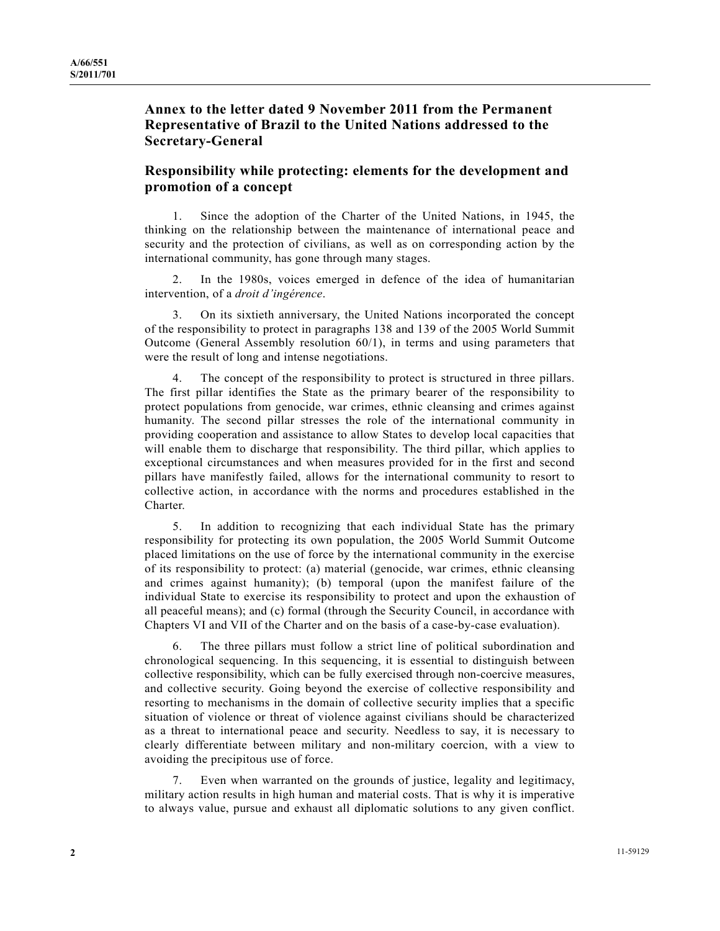## **Annex to the letter dated 9 November 2011 from the Permanent Representative of Brazil to the United Nations addressed to the Secretary-General**

## **Responsibility while protecting: elements for the development and promotion of a concept**

 1. Since the adoption of the Charter of the United Nations, in 1945, the thinking on the relationship between the maintenance of international peace and security and the protection of civilians, as well as on corresponding action by the international community, has gone through many stages.

 2. In the 1980s, voices emerged in defence of the idea of humanitarian intervention, of a *droit d'ingérence*.

 3. On its sixtieth anniversary, the United Nations incorporated the concept of the responsibility to protect in paragraphs 138 and 139 of the 2005 World Summit Outcome (General Assembly resolution 60/1), in terms and using parameters that were the result of long and intense negotiations.

 4. The concept of the responsibility to protect is structured in three pillars. The first pillar identifies the State as the primary bearer of the responsibility to protect populations from genocide, war crimes, ethnic cleansing and crimes against humanity. The second pillar stresses the role of the international community in providing cooperation and assistance to allow States to develop local capacities that will enable them to discharge that responsibility. The third pillar, which applies to exceptional circumstances and when measures provided for in the first and second pillars have manifestly failed, allows for the international community to resort to collective action, in accordance with the norms and procedures established in the Charter.

 5. In addition to recognizing that each individual State has the primary responsibility for protecting its own population, the 2005 World Summit Outcome placed limitations on the use of force by the international community in the exercise of its responsibility to protect: (a) material (genocide, war crimes, ethnic cleansing and crimes against humanity); (b) temporal (upon the manifest failure of the individual State to exercise its responsibility to protect and upon the exhaustion of all peaceful means); and (c) formal (through the Security Council, in accordance with Chapters VI and VII of the Charter and on the basis of a case-by-case evaluation).

 6. The three pillars must follow a strict line of political subordination and chronological sequencing. In this sequencing, it is essential to distinguish between collective responsibility, which can be fully exercised through non-coercive measures, and collective security. Going beyond the exercise of collective responsibility and resorting to mechanisms in the domain of collective security implies that a specific situation of violence or threat of violence against civilians should be characterized as a threat to international peace and security. Needless to say, it is necessary to clearly differentiate between military and non-military coercion, with a view to avoiding the precipitous use of force.

 7. Even when warranted on the grounds of justice, legality and legitimacy, military action results in high human and material costs. That is why it is imperative to always value, pursue and exhaust all diplomatic solutions to any given conflict.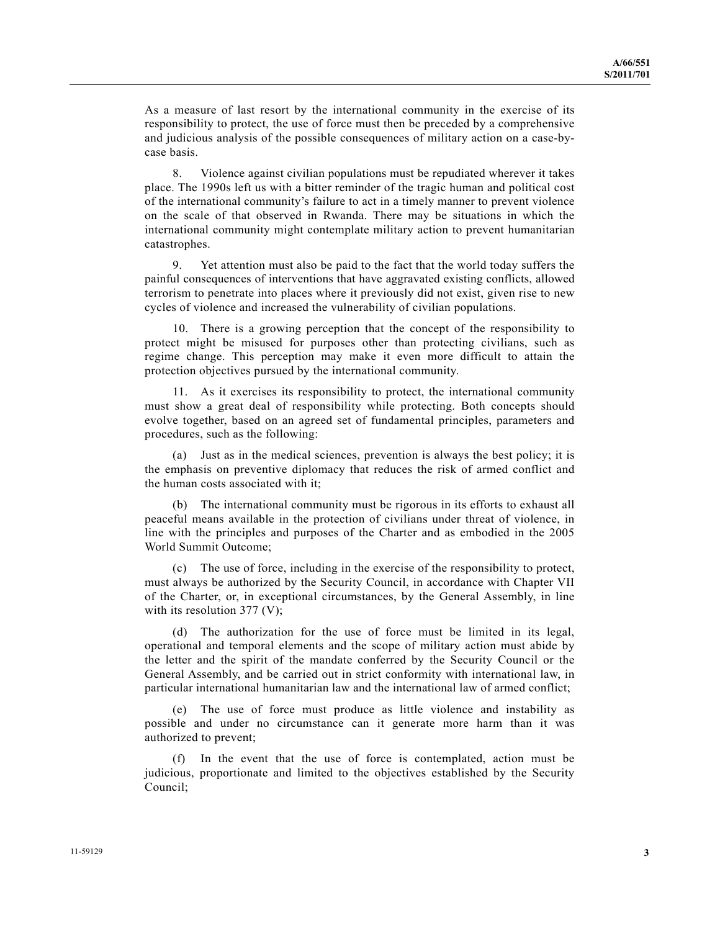As a measure of last resort by the international community in the exercise of its responsibility to protect, the use of force must then be preceded by a comprehensive and judicious analysis of the possible consequences of military action on a case-bycase basis.

 8. Violence against civilian populations must be repudiated wherever it takes place. The 1990s left us with a bitter reminder of the tragic human and political cost of the international community's failure to act in a timely manner to prevent violence on the scale of that observed in Rwanda. There may be situations in which the international community might contemplate military action to prevent humanitarian catastrophes.

 9. Yet attention must also be paid to the fact that the world today suffers the painful consequences of interventions that have aggravated existing conflicts, allowed terrorism to penetrate into places where it previously did not exist, given rise to new cycles of violence and increased the vulnerability of civilian populations.

 10. There is a growing perception that the concept of the responsibility to protect might be misused for purposes other than protecting civilians, such as regime change. This perception may make it even more difficult to attain the protection objectives pursued by the international community.

 11. As it exercises its responsibility to protect, the international community must show a great deal of responsibility while protecting. Both concepts should evolve together, based on an agreed set of fundamental principles, parameters and procedures, such as the following:

Just as in the medical sciences, prevention is always the best policy; it is the emphasis on preventive diplomacy that reduces the risk of armed conflict and the human costs associated with it;

 (b) The international community must be rigorous in its efforts to exhaust all peaceful means available in the protection of civilians under threat of violence, in line with the principles and purposes of the Charter and as embodied in the 2005 World Summit Outcome;

 (c) The use of force, including in the exercise of the responsibility to protect, must always be authorized by the Security Council, in accordance with Chapter VII of the Charter, or, in exceptional circumstances, by the General Assembly, in line with its resolution 377 (V);

 (d) The authorization for the use of force must be limited in its legal, operational and temporal elements and the scope of military action must abide by the letter and the spirit of the mandate conferred by the Security Council or the General Assembly, and be carried out in strict conformity with international law, in particular international humanitarian law and the international law of armed conflict;

 (e) The use of force must produce as little violence and instability as possible and under no circumstance can it generate more harm than it was authorized to prevent;

 (f) In the event that the use of force is contemplated, action must be judicious, proportionate and limited to the objectives established by the Security Council;